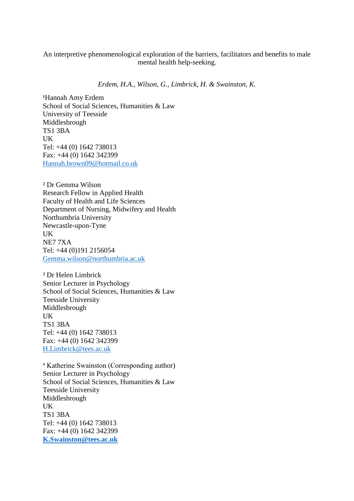# An interpretive phenomenological exploration of the barriers, facilitators and benefits to male mental health help-seeking.

*Erdem, H.A., Wilson, G., Limbrick, H. & Swainston, K.* 

<sup>1</sup>Hannah Amy Erdem School of Social Sciences, Humanities & Law University of Teesside Middlesbrough TS1 3BA UK Tel: +44 (0) 1642 738013 Fax: +44 (0) 1642 342399 [Hannah.brown09@hotmail.co.uk](mailto:Hannah.brown09@hotmail.co.uk) 

² Dr Gemma Wilson Research Fellow in Applied Health Faculty of Health and Life Sciences Department of Nursing, Midwifery and Health Northumbria University Newcastle-upon-Tyne UK NE7 7XA Tel: +44 (0)191 2156054 [Gemma.wilson@northumbria.ac.uk](mailto:Gemma.wilson@northumbria.ac.uk) 

³ Dr Helen Limbrick Senior Lecturer in Psychology School of Social Sciences, Humanities & Law Teesside University Middlesbrough UK TS1 3BA Tel: +44 (0) 1642 738013 Fax: +44 (0) 1642 342399 [H.Limbrick@tees.ac.uk](mailto:H.Limbrick@tees.ac.uk) 

⁴ Katherine Swainston (Corresponding author) Senior Lecturer in Psychology School of Social Sciences, Humanities & Law Teesside University Middlesbrough UK TS1 3BA Tel: +44 (0) 1642 738013 Fax: +44 (0) 1642 342399 **[K.Swainston@tees.ac.uk](mailto:K.Swainston@tees.ac.uk)**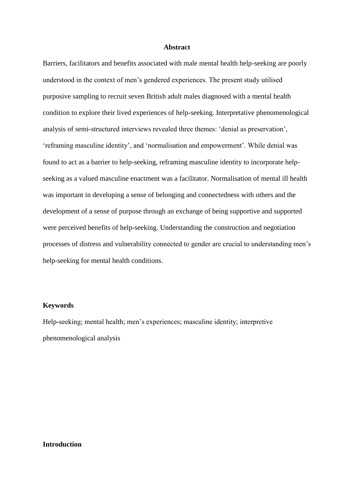### **Abstract**

 Barriers, facilitators and benefits associated with male mental health help-seeking are poorly understood in the context of men's gendered experiences. The present study utilised purposive sampling to recruit seven British adult males diagnosed with a mental health condition to explore their lived experiences of help-seeking. Interpretative phenomenological analysis of semi-structured interviews revealed three themes: 'denial as preservation', 'reframing masculine identity', and 'normalisation and empowerment'. While denial was found to act as a barrier to help-seeking, reframing masculine identity to incorporate helpseeking as a valued masculine enactment was a facilitator. Normalisation of mental ill health was important in developing a sense of belonging and connectedness with others and the development of a sense of purpose through an exchange of being supportive and supported were perceived benefits of help-seeking. Understanding the construction and negotiation processes of distress and vulnerability connected to gender are crucial to understanding men's help-seeking for mental health conditions.

#### **Keywords**

Help-seeking; mental health; men's experiences; masculine identity; interpretive phenomenological analysis

## **Introduction**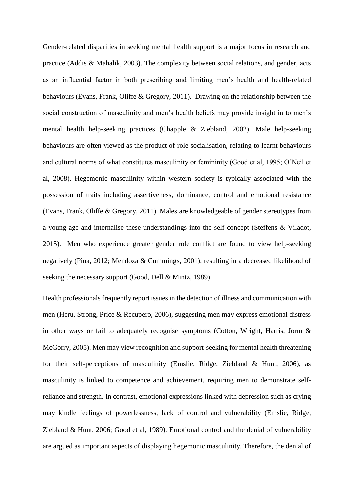Gender-related disparities in seeking mental health support is a major focus in research and practice (Addis & Mahalik, 2003). The complexity between social relations, and gender, acts as an influential factor in both prescribing and limiting men's health and health-related behaviours (Evans, Frank, Oliffe & Gregory, 2011). Drawing on the relationship between the social construction of masculinity and men's health beliefs may provide insight in to men's behaviours are often viewed as the product of role socialisation, relating to learnt behaviours and cultural norms of what constitutes masculinity or femininity (Good et al, 1995; O'Neil et al, 2008). Hegemonic masculinity within western society is typically associated with the a young age and internalise these understandings into the self-concept (Steffens & Viladot, 2015). Men who experience greater gender role conflict are found to view help-seeking negatively (Pina, 2012; Mendoza & Cummings, 2001), resulting in a decreased likelihood of mental health help-seeking practices (Chapple & Ziebland, 2002). Male help-seeking possession of traits including assertiveness, dominance, control and emotional resistance (Evans, Frank, Oliffe & Gregory, 2011). Males are knowledgeable of gender stereotypes from seeking the necessary support (Good, Dell & Mintz, 1989).

 men (Heru, Strong, Price & Recupero, 2006), suggesting men may express emotional distress McGorry, 2005). Men may view recognition and support-seeking for mental health threatening for their self-perceptions of masculinity (Emslie, Ridge, Ziebland & Hunt, 2006), as masculinity is linked to competence and achievement, requiring men to demonstrate self- may kindle feelings of powerlessness, lack of control and vulnerability (Emslie, Ridge, are argued as important aspects of displaying hegemonic masculinity. Therefore, the denial of Health professionals frequently report issues in the detection of illness and communication with in other ways or fail to adequately recognise symptoms (Cotton, Wright, Harris, Jorm & reliance and strength. In contrast, emotional expressions linked with depression such as crying Ziebland & Hunt, 2006; Good et al, 1989). Emotional control and the denial of vulnerability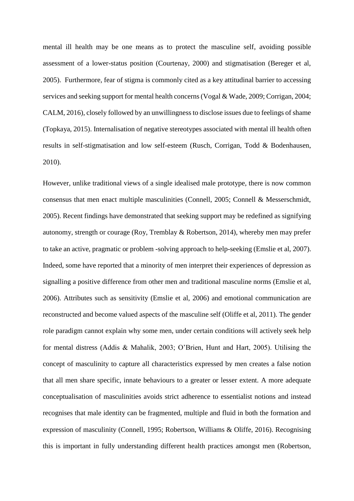mental ill health may be one means as to protect the masculine self, avoiding possible assessment of a lower-status position (Courtenay, 2000) and stigmatisation (Bereger et al, services and seeking support for mental health concerns (Vogal & Wade, 2009; Corrigan, 2004; CALM, 2016), closely followed by an unwillingness to disclose issues due to feelings of shame results in self-stigmatisation and low self-esteem (Rusch, Corrigan, Todd & Bodenhausen, 2005). Furthermore, fear of stigma is commonly cited as a key attitudinal barrier to accessing (Topkaya, 2015). Internalisation of negative stereotypes associated with mental ill health often 2010).

 consensus that men enact multiple masculinities (Connell, 2005; Connell & Messerschmidt, 2005). Recent findings have demonstrated that seeking support may be redefined as signifying autonomy, strength or courage (Roy, Tremblay & Robertson, 2014), whereby men may prefer signalling a positive difference from other men and traditional masculine norms (Emslie et al, 2006). Attributes such as sensitivity (Emslie et al, 2006) and emotional communication are reconstructed and become valued aspects of the masculine self (Oliffe et al, 2011). The gender role paradigm cannot explain why some men, under certain conditions will actively seek help for mental distress (Addis & Mahalik, 2003; O'Brien, Hunt and Hart, 2005). Utilising the concept of masculinity to capture all characteristics expressed by men creates a false notion that all men share specific, innate behaviours to a greater or lesser extent. A more adequate recognises that male identity can be fragmented, multiple and fluid in both the formation and However, unlike traditional views of a single idealised male prototype, there is now common to take an active, pragmatic or problem -solving approach to help-seeking (Emslie et al, 2007). Indeed, some have reported that a minority of men interpret their experiences of depression as conceptualisation of masculinities avoids strict adherence to essentialist notions and instead expression of masculinity (Connell, 1995; Robertson, Williams & Oliffe, 2016). Recognising this is important in fully understanding different health practices amongst men (Robertson,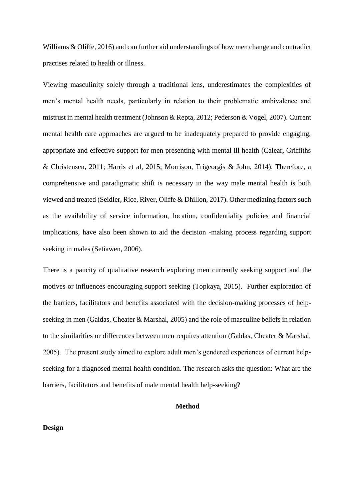Williams & Oliffe, 2016) and can further aid understandings of how men change and contradict practises related to health or illness.

 Viewing masculinity solely through a traditional lens, underestimates the complexities of men's mental health needs, particularly in relation to their problematic ambivalence and mistrust in mental health treatment (Johnson & Repta, 2012; Pederson & Vogel, 2007). Current mental health care approaches are argued to be inadequately prepared to provide engaging, appropriate and effective support for men presenting with mental ill health (Calear, Griffiths comprehensive and paradigmatic shift is necessary in the way male mental health is both viewed and treated (Seidler, Rice, River, Oliffe & Dhillon, 2017). Other mediating factors such as the availability of service information, location, confidentiality policies and financial implications, have also been shown to aid the decision -making process regarding support & Christensen, 2011; Harris et al, 2015; Morrison, Trigeorgis & John, 2014). Therefore, a seeking in males (Setiawen, 2006).

 There is a paucity of qualitative research exploring men currently seeking support and the seeking in men (Galdas, Cheater & Marshal, 2005) and the role of masculine beliefs in relation to the similarities or differences between men requires attention (Galdas, Cheater & Marshal, 2005). The present study aimed to explore adult men's gendered experiences of current help- seeking for a diagnosed mental health condition. The research asks the question: What are the motives or influences encouraging support seeking (Topkaya, 2015). Further exploration of the barriers, facilitators and benefits associated with the decision-making processes of helpbarriers, facilitators and benefits of male mental health help-seeking?

## **Method**

### **Design**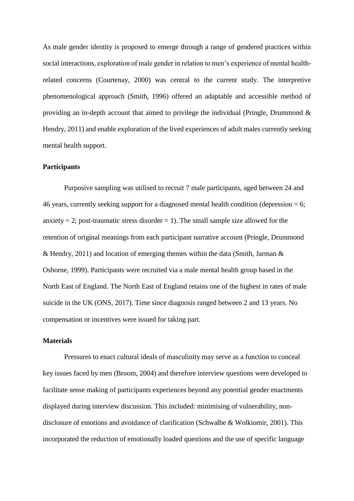As male gender identity is proposed to emerge through a range of gendered practices within related concerns (Courtenay, 2000) was central to the current study. The interpretive Hendry, 2011) and enable exploration of the lived experiences of adult males currently seeking social interactions, exploration of male gender in relation to men's experience of mental healthphenomenological approach (Smith, 1996) offered an adaptable and accessible method of providing an in-depth account that aimed to privilege the individual (Pringle, Drummond & mental health support.

#### **Participants**

Purposive sampling was utilised to recruit 7 male participants, aged between 24 and 46 years, currently seeking support for a diagnosed mental health condition (depression = 6; anxiety  $= 2$ ; post-traumatic stress disorder  $= 1$ ). The small sample size allowed for the retention of original meanings from each participant narrative account (Pringle, Drummond & Hendry, 2011) and location of emerging themes within the data (Smith, Jarman  $\&$ Osborne, 1999). Participants were recruited via a male mental health group based in the North East of England. The North East of England retains one of the highest in rates of male suicide in the UK (ONS, 2017). Time since diagnosis ranged between 2 and 13 years. No compensation or incentives were issued for taking part.

#### **Materials**

Pressures to enact cultural ideals of masculinity may serve as a function to conceal key issues faced by men (Broom, 2004) and therefore interview questions were developed to facilitate sense making of participants experiences beyond any potential gender enactments displayed during interview discussion. This included: minimising of vulnerability, nondisclosure of emotions and avoidance of clarification (Schwalbe & Wolkiomir, 2001). This incorporated the reduction of emotionally loaded questions and the use of specific language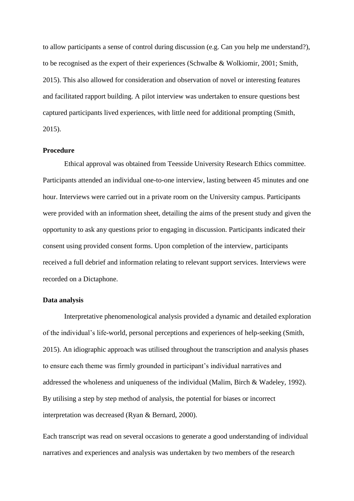to allow participants a sense of control during discussion (e.g. Can you help me understand?), to be recognised as the expert of their experiences (Schwalbe & Wolkiomir, 2001; Smith, 2015). This also allowed for consideration and observation of novel or interesting features and facilitated rapport building. A pilot interview was undertaken to ensure questions best captured participants lived experiences, with little need for additional prompting (Smith, 2015).

## **Procedure**

Ethical approval was obtained from Teesside University Research Ethics committee. Participants attended an individual one-to-one interview, lasting between 45 minutes and one hour. Interviews were carried out in a private room on the University campus. Participants were provided with an information sheet, detailing the aims of the present study and given the opportunity to ask any questions prior to engaging in discussion. Participants indicated their consent using provided consent forms. Upon completion of the interview, participants received a full debrief and information relating to relevant support services. Interviews were recorded on a Dictaphone.

#### **Data analysis**

 to ensure each theme was firmly grounded in participant's individual narratives and Interpretative phenomenological analysis provided a dynamic and detailed exploration of the individual's life-world, personal perceptions and experiences of help-seeking (Smith, 2015). An idiographic approach was utilised throughout the transcription and analysis phases addressed the wholeness and uniqueness of the individual (Malim, Birch & Wadeley, 1992). By utilising a step by step method of analysis, the potential for biases or incorrect interpretation was decreased (Ryan & Bernard, 2000).

Each transcript was read on several occasions to generate a good understanding of individual narratives and experiences and analysis was undertaken by two members of the research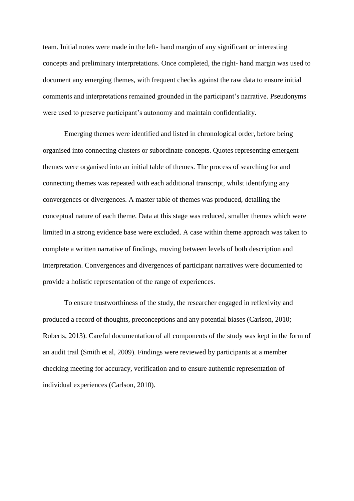team. Initial notes were made in the left- hand margin of any significant or interesting concepts and preliminary interpretations. Once completed, the right- hand margin was used to document any emerging themes, with frequent checks against the raw data to ensure initial comments and interpretations remained grounded in the participant's narrative*.* Pseudonyms were used to preserve participant's autonomy and maintain confidentiality.

 Emerging themes were identified and listed in chronological order, before being organised into connecting clusters or subordinate concepts. Quotes representing emergent themes were organised into an initial table of themes. The process of searching for and connecting themes was repeated with each additional transcript, whilst identifying any convergences or divergences. A master table of themes was produced, detailing the conceptual nature of each theme. Data at this stage was reduced, smaller themes which were limited in a strong evidence base were excluded. A case within theme approach was taken to complete a written narrative of findings, moving between levels of both description and interpretation. Convergences and divergences of participant narratives were documented to provide a holistic representation of the range of experiences.

To ensure trustworthiness of the study, the researcher engaged in reflexivity and produced a record of thoughts, preconceptions and any potential biases (Carlson, 2010; Roberts, 2013). Careful documentation of all components of the study was kept in the form of an audit trail (Smith et al, 2009). Findings were reviewed by participants at a member checking meeting for accuracy, verification and to ensure authentic representation of individual experiences (Carlson, 2010).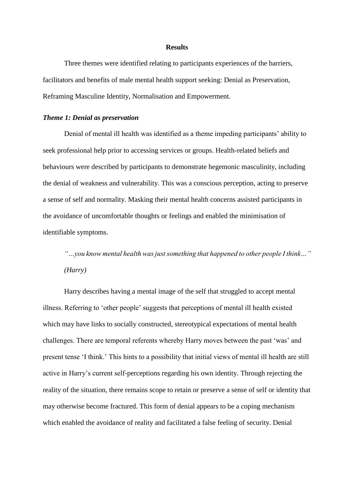#### **Results**

Three themes were identified relating to participants experiences of the barriers, facilitators and benefits of male mental health support seeking: Denial as Preservation, Reframing Masculine Identity, Normalisation and Empowerment.

### *Theme 1: Denial as preservation*

Denial of mental ill health was identified as a theme impeding participants' ability to seek professional help prior to accessing services or groups. Health-related beliefs and behaviours were described by participants to demonstrate hegemonic masculinity, including the denial of weakness and vulnerability. This was a conscious perception, acting to preserve a sense of self and normality. Masking their mental health concerns assisted participants in the avoidance of uncomfortable thoughts or feelings and enabled the minimisation of identifiable symptoms.

 *"…you know mental health was justsomething that happened to other people I think…" (Harry)* 

Harry describes having a mental image of the self that struggled to accept mental illness. Referring to 'other people' suggests that perceptions of mental ill health existed which may have links to socially constructed, stereotypical expectations of mental health challenges. There are temporal referents whereby Harry moves between the past 'was' and present tense 'I think.' This hints to a possibility that initial views of mental ill health are still active in Harry's current self-perceptions regarding his own identity. Through rejecting the reality of the situation, there remains scope to retain or preserve a sense of self or identity that may otherwise become fractured. This form of denial appears to be a coping mechanism which enabled the avoidance of reality and facilitated a false feeling of security. Denial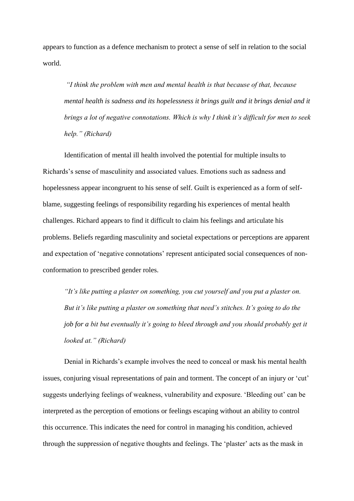appears to function as a defence mechanism to protect a sense of self in relation to the social world.

*"I think the problem with men and mental health is that because of that, because mental health is sadness and its hopelessness it brings guilt and it brings denial and it brings a lot of negative connotations. Which is why I think it's difficult for men to seek help." (Richard)*

Identification of mental ill health involved the potential for multiple insults to Richards's sense of masculinity and associated values. Emotions such as sadness and hopelessness appear incongruent to his sense of self. Guilt is experienced as a form of selfblame, suggesting feelings of responsibility regarding his experiences of mental health challenges. Richard appears to find it difficult to claim his feelings and articulate his problems. Beliefs regarding masculinity and societal expectations or perceptions are apparent and expectation of 'negative connotations' represent anticipated social consequences of nonconformation to prescribed gender roles.

*"It's like putting a plaster on something, you cut yourself and you put a plaster on. But it's like putting a plaster on something that need's stitches. It's going to do the job for a bit but eventually it's going to bleed through and you should probably get it looked at." (Richard)*

Denial in Richards's example involves the need to conceal or mask his mental health issues, conjuring visual representations of pain and torment. The concept of an injury or 'cut' suggests underlying feelings of weakness, vulnerability and exposure. 'Bleeding out' can be interpreted as the perception of emotions or feelings escaping without an ability to control this occurrence. This indicates the need for control in managing his condition, achieved through the suppression of negative thoughts and feelings. The 'plaster' acts as the mask in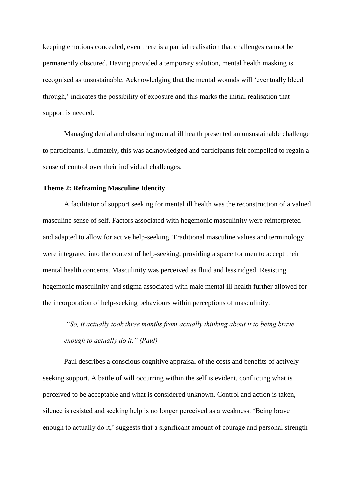keeping emotions concealed, even there is a partial realisation that challenges cannot be permanently obscured. Having provided a temporary solution, mental health masking is recognised as unsustainable. Acknowledging that the mental wounds will 'eventually bleed through,' indicates the possibility of exposure and this marks the initial realisation that support is needed.

Managing denial and obscuring mental ill health presented an unsustainable challenge to participants. Ultimately, this was acknowledged and participants felt compelled to regain a sense of control over their individual challenges.

### **Theme 2: Reframing Masculine Identity**

A facilitator of support seeking for mental ill health was the reconstruction of a valued masculine sense of self. Factors associated with hegemonic masculinity were reinterpreted and adapted to allow for active help-seeking. Traditional masculine values and terminology were integrated into the context of help-seeking, providing a space for men to accept their mental health concerns. Masculinity was perceived as fluid and less ridged. Resisting hegemonic masculinity and stigma associated with male mental ill health further allowed for the incorporation of help-seeking behaviours within perceptions of masculinity.

*"So, it actually took three months from actually thinking about it to being brave enough to actually do it." (Paul)*

Paul describes a conscious cognitive appraisal of the costs and benefits of actively seeking support. A battle of will occurring within the self is evident, conflicting what is perceived to be acceptable and what is considered unknown. Control and action is taken, silence is resisted and seeking help is no longer perceived as a weakness. 'Being brave enough to actually do it,' suggests that a significant amount of courage and personal strength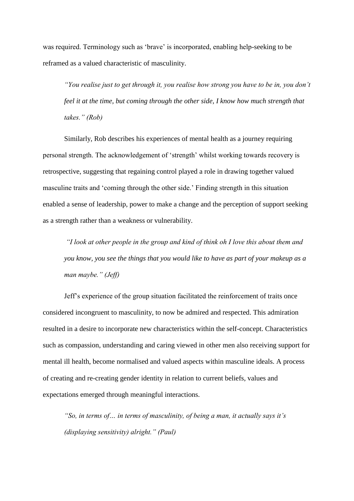was required. Terminology such as 'brave' is incorporated, enabling help-seeking to be reframed as a valued characteristic of masculinity.

*"You realise just to get through it, you realise how strong you have to be in, you don't feel it at the time, but coming through the other side, I know how much strength that takes." (Rob)*

Similarly, Rob describes his experiences of mental health as a journey requiring personal strength. The acknowledgement of 'strength' whilst working towards recovery is retrospective, suggesting that regaining control played a role in drawing together valued masculine traits and 'coming through the other side.' Finding strength in this situation enabled a sense of leadership, power to make a change and the perception of support seeking as a strength rather than a weakness or vulnerability.

*"I look at other people in the group and kind of think oh I love this about them and you know, you see the things that you would like to have as part of your makeup as a man maybe." (Jeff)*

Jeff's experience of the group situation facilitated the reinforcement of traits once considered incongruent to masculinity, to now be admired and respected. This admiration resulted in a desire to incorporate new characteristics within the self-concept. Characteristics such as compassion, understanding and caring viewed in other men also receiving support for mental ill health, become normalised and valued aspects within masculine ideals. A process of creating and re-creating gender identity in relation to current beliefs, values and expectations emerged through meaningful interactions.

*"So, in terms of… in terms of masculinity, of being a man, it actually says it's (displaying sensitivity) alright." (Paul)*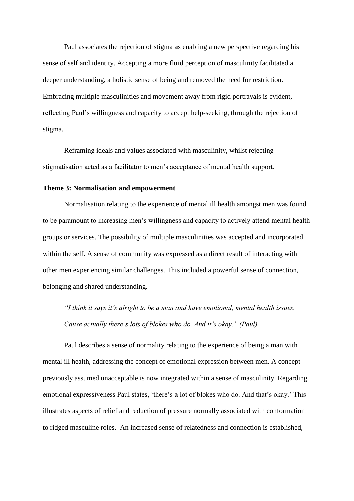Paul associates the rejection of stigma as enabling a new perspective regarding his sense of self and identity. Accepting a more fluid perception of masculinity facilitated a deeper understanding, a holistic sense of being and removed the need for restriction. Embracing multiple masculinities and movement away from rigid portrayals is evident, reflecting Paul's willingness and capacity to accept help-seeking, through the rejection of stigma.

Reframing ideals and values associated with masculinity, whilst rejecting stigmatisation acted as a facilitator to men's acceptance of mental health support.

### **Theme 3: Normalisation and empowerment**

Normalisation relating to the experience of mental ill health amongst men was found to be paramount to increasing men's willingness and capacity to actively attend mental health groups or services. The possibility of multiple masculinities was accepted and incorporated within the self. A sense of community was expressed as a direct result of interacting with other men experiencing similar challenges. This included a powerful sense of connection, belonging and shared understanding.

*"I think it says it's alright to be a man and have emotional, mental health issues. Cause actually there's lots of blokes who do. And it's okay." (Paul)*

Paul describes a sense of normality relating to the experience of being a man with mental ill health, addressing the concept of emotional expression between men. A concept previously assumed unacceptable is now integrated within a sense of masculinity. Regarding emotional expressiveness Paul states, 'there's a lot of blokes who do. And that's okay.' This illustrates aspects of relief and reduction of pressure normally associated with conformation to ridged masculine roles. An increased sense of relatedness and connection is established,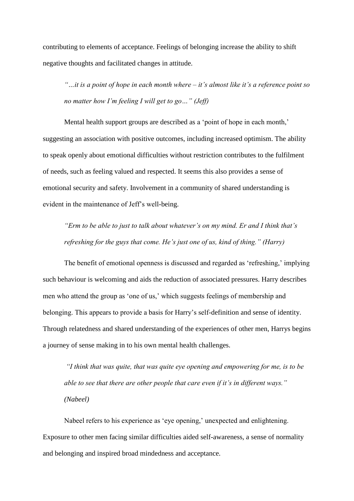contributing to elements of acceptance. Feelings of belonging increase the ability to shift negative thoughts and facilitated changes in attitude.

*"…it is a point of hope in each month where – it's almost like it's a reference point so no matter how I'm feeling I will get to go…" (Jeff)*

Mental health support groups are described as a 'point of hope in each month,' suggesting an association with positive outcomes, including increased optimism. The ability to speak openly about emotional difficulties without restriction contributes to the fulfilment of needs, such as feeling valued and respected. It seems this also provides a sense of emotional security and safety. Involvement in a community of shared understanding is evident in the maintenance of Jeff's well-being.

*"Erm to be able to just to talk about whatever's on my mind. Er and I think that's refreshing for the guys that come. He's just one of us, kind of thing." (Harry)*

The benefit of emotional openness is discussed and regarded as 'refreshing,' implying such behaviour is welcoming and aids the reduction of associated pressures. Harry describes men who attend the group as 'one of us,' which suggests feelings of membership and belonging. This appears to provide a basis for Harry's self-definition and sense of identity. Through relatedness and shared understanding of the experiences of other men, Harrys begins a journey of sense making in to his own mental health challenges.

*"I think that was quite, that was quite eye opening and empowering for me, is to be able to see that there are other people that care even if it's in different ways." (Nabeel)* 

Nabeel refers to his experience as 'eye opening,' unexpected and enlightening. Exposure to other men facing similar difficulties aided self-awareness, a sense of normality and belonging and inspired broad mindedness and acceptance.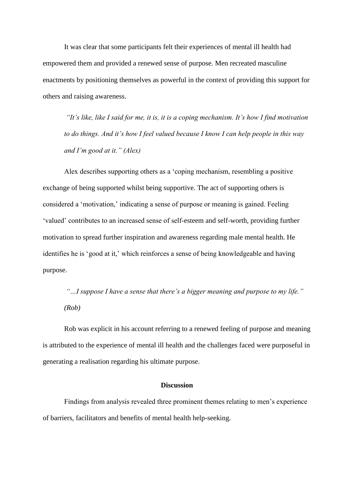It was clear that some participants felt their experiences of mental ill health had empowered them and provided a renewed sense of purpose. Men recreated masculine enactments by positioning themselves as powerful in the context of providing this support for others and raising awareness.

*"It's like, like I said for me, it is, it is a coping mechanism. It's how I find motivation to do things. And it's how I feel valued because I know I can help people in this way and I'm good at it." (Alex)*

Alex describes supporting others as a 'coping mechanism, resembling a positive exchange of being supported whilst being supportive. The act of supporting others is considered a 'motivation,' indicating a sense of purpose or meaning is gained. Feeling 'valued' contributes to an increased sense of self-esteem and self-worth, providing further motivation to spread further inspiration and awareness regarding male mental health. He identifies he is 'good at it,' which reinforces a sense of being knowledgeable and having purpose.

*"…I suppose I have a sense that there's a bigger meaning and purpose to my life." (Rob)* 

Rob was explicit in his account referring to a renewed feeling of purpose and meaning is attributed to the experience of mental ill health and the challenges faced were purposeful in generating a realisation regarding his ultimate purpose.

### **Discussion**

Findings from analysis revealed three prominent themes relating to men's experience of barriers, facilitators and benefits of mental health help-seeking.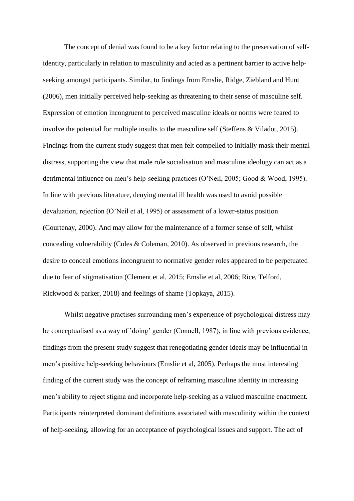The concept of denial was found to be a key factor relating to the preservation of selfidentity, particularly in relation to masculinity and acted as a pertinent barrier to active helpseeking amongst participants. Similar, to findings from Emslie, Ridge, Ziebland and Hunt (2006), men initially perceived help-seeking as threatening to their sense of masculine self. Expression of emotion incongruent to perceived masculine ideals or norms were feared to involve the potential for multiple insults to the masculine self (Steffens & Viladot, 2015). Findings from the current study suggest that men felt compelled to initially mask their mental distress, supporting the view that male role socialisation and masculine ideology can act as a detrimental influence on men's help-seeking practices (O'Neil, 2005; Good & Wood, 1995). In line with previous literature, denying mental ill health was used to avoid possible devaluation, rejection (O'Neil et al, 1995) or assessment of a lower-status position (Courtenay, 2000). And may allow for the maintenance of a former sense of self, whilst concealing vulnerability (Coles & Coleman, 2010). As observed in previous research, the desire to conceal emotions incongruent to normative gender roles appeared to be perpetuated due to fear of stigmatisation (Clement et al, 2015; Emslie et al, 2006; Rice, Telford, Rickwood & parker, 2018) and feelings of shame (Topkaya, 2015).

Whilst negative practises surrounding men's experience of psychological distress may be conceptualised as a way of 'doing' gender (Connell, 1987), in line with previous evidence, findings from the present study suggest that renegotiating gender ideals may be influential in men's positive help-seeking behaviours (Emslie et al, 2005). Perhaps the most interesting finding of the current study was the concept of reframing masculine identity in increasing men's ability to reject stigma and incorporate help-seeking as a valued masculine enactment. Participants reinterpreted dominant definitions associated with masculinity within the context of help-seeking, allowing for an acceptance of psychological issues and support. The act of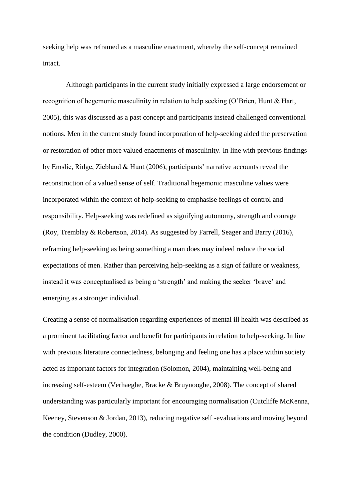seeking help was reframed as a masculine enactment, whereby the self-concept remained intact.

 reconstruction of a valued sense of self. Traditional hegemonic masculine values were Although participants in the current study initially expressed a large endorsement or recognition of hegemonic masculinity in relation to help seeking (O'Brien, Hunt & Hart, 2005), this was discussed as a past concept and participants instead challenged conventional notions. Men in the current study found incorporation of help-seeking aided the preservation or restoration of other more valued enactments of masculinity. In line with previous findings by Emslie, Ridge, Ziebland & Hunt (2006), participants' narrative accounts reveal the incorporated within the context of help-seeking to emphasise feelings of control and responsibility. Help-seeking was redefined as signifying autonomy, strength and courage (Roy, Tremblay & Robertson, 2014). As suggested by Farrell, Seager and Barry (2016), reframing help-seeking as being something a man does may indeed reduce the social expectations of men. Rather than perceiving help-seeking as a sign of failure or weakness, instead it was conceptualised as being a 'strength' and making the seeker 'brave' and emerging as a stronger individual.

 increasing self-esteem (Verhaeghe, Bracke & Bruynooghe, 2008). The concept of shared Creating a sense of normalisation regarding experiences of mental ill health was described as a prominent facilitating factor and benefit for participants in relation to help-seeking. In line with previous literature connectedness, belonging and feeling one has a place within society acted as important factors for integration (Solomon, 2004), maintaining well-being and understanding was particularly important for encouraging normalisation (Cutcliffe McKenna, Keeney, Stevenson & Jordan, 2013), reducing negative self -evaluations and moving beyond the condition (Dudley, 2000).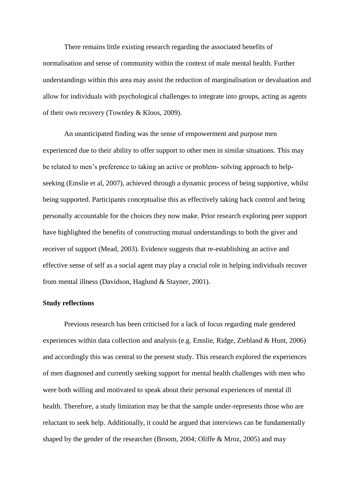There remains little existing research regarding the associated benefits of normalisation and sense of community within the context of male mental health. Further understandings within this area may assist the reduction of marginalisation or devaluation and allow for individuals with psychological challenges to integrate into groups, acting as agents of their own recovery (Townley & Kloos, 2009).

 be related to men's preference to taking an active or problem- solving approach to help-An unanticipated finding was the sense of empowerment and purpose men experienced due to their ability to offer support to other men in similar situations. This may seeking (Emslie et al, 2007), achieved through a dynamic process of being supportive, whilst being supported. Participants conceptualise this as effectively taking back control and being personally accountable for the choices they now make. Prior research exploring peer support have highlighted the benefits of constructing mutual understandings to both the giver and receiver of support (Mead, 2003). Evidence suggests that re-establishing an active and effective sense of self as a social agent may play a crucial role in helping individuals recover from mental illness (Davidson, Haglund & Stayner, 2001).

## **Study reflections**

Previous research has been criticised for a lack of focus regarding male gendered experiences within data collection and analysis (e.g. Emslie, Ridge, Ziebland & Hunt, 2006) and accordingly this was central to the present study. This research explored the experiences of men diagnosed and currently seeking support for mental health challenges with men who were both willing and motivated to speak about their personal experiences of mental ill health. Therefore, a study limitation may be that the sample under-represents those who are reluctant to seek help. Additionally, it could be argued that interviews can be fundamentally shaped by the gender of the researcher (Broom, 2004; Oliffe & Mroz, 2005) and may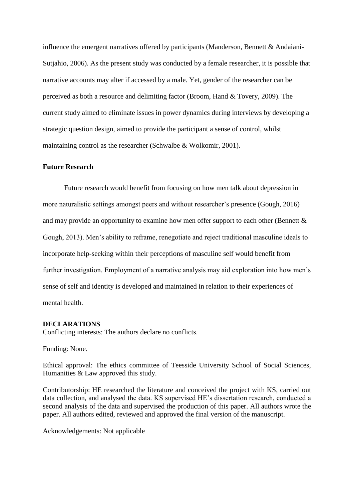current study aimed to eliminate issues in power dynamics during interviews by developing a influence the emergent narratives offered by participants (Manderson, Bennett & Andaiani-Sutjahio, 2006). As the present study was conducted by a female researcher, it is possible that narrative accounts may alter if accessed by a male. Yet, gender of the researcher can be perceived as both a resource and delimiting factor (Broom, Hand & Tovery, 2009). The strategic question design, aimed to provide the participant a sense of control, whilst maintaining control as the researcher (Schwalbe & Wolkomir, 2001).

# **Future Research**

and may provide an opportunity to examine how men offer support to each other (Bennett  $\&$ Future research would benefit from focusing on how men talk about depression in more naturalistic settings amongst peers and without researcher's presence (Gough, 2016) Gough, 2013). Men's ability to reframe, renegotiate and reject traditional masculine ideals to incorporate help-seeking within their perceptions of masculine self would benefit from further investigation. Employment of a narrative analysis may aid exploration into how men's sense of self and identity is developed and maintained in relation to their experiences of mental health.

## **DECLARATIONS**

Conflicting interests: The authors declare no conflicts.

Funding: None.

 Ethical approval: The ethics committee of Teesside University School of Social Sciences, Humanities & Law approved this study.

 Contributorship: HE researched the literature and conceived the project with KS, carried out data collection, and analysed the data. KS supervised HE's dissertation research, conducted a second analysis of the data and supervised the production of this paper. All authors wrote the paper. All authors edited, reviewed and approved the final version of the manuscript.

Acknowledgements: Not applicable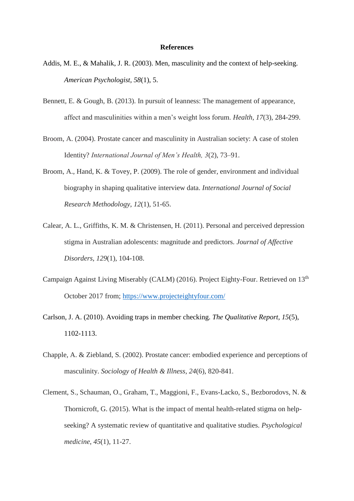#### **References**

- Addis, M. E., & Mahalik, J. R. (2003). Men, masculinity and the context of help-seeking. *American Psychologist, 58*(1), 5.
- Bennett, E. & Gough, B. (2013). In pursuit of leanness: The management of appearance, affect and masculinities within a men's weight loss forum. *Health*, *17*(3), 284-299.
- Broom, A. (2004). Prostate cancer and masculinity in Australian society: A case of stolen Identity? *International Journal of Men's Health, 3*(2), 73–91.
- Broom, A., Hand, K. & Tovey, P. (2009). The role of gender, environment and individual biography in shaping qualitative interview data. *International Journal of Social Research Methodology*, *12*(1), 51-65.
- Calear, A. L., Griffiths, K. M. & Christensen, H. (2011). Personal and perceived depression stigma in Australian adolescents: magnitude and predictors. *Journal of Affective Disorders*, *129*(1), 104-108.
- Campaign Against Living Miserably (CALM) (2016). Project Eighty-Four. Retrieved on 13<sup>th</sup> October 2017 from;<https://www.projecteightyfour.com/>
- Carlson, J. A. (2010). Avoiding traps in member checking. *The Qualitative Report, 15*(5), 1102-1113.
- Chapple, A. & Ziebland, S. (2002). Prostate cancer: embodied experience and perceptions of masculinity. *Sociology of Health & Illness*, *24*(6), 820-841.
- Clement, S., Schauman, O., Graham, T., Maggioni, F., Evans-Lacko, S., Bezborodovs, N. & Thornicroft, G. (2015). What is the impact of mental health-related stigma on helpseeking? A systematic review of quantitative and qualitative studies. *Psychological medicine*, *45*(1), 11-27.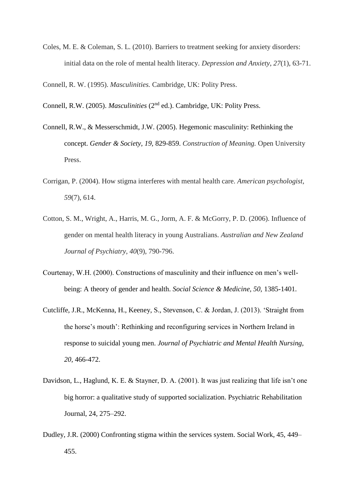Coles, M. E. & Coleman, S. L. (2010). Barriers to treatment seeking for anxiety disorders: initial data on the role of mental health literacy. *Depression and Anxiety*, *27*(1), 63-71.

Connell, R. W. (1995). *Masculinities.* Cambridge, UK: Polity Press.

Connell, R.W. (2005). *Masculinities* (2nd ed.). Cambridge, UK: Polity Press.

- Connell, R.W., & Messerschmidt, J.W. (2005). Hegemonic masculinity: Rethinking the concept. *Gender & Society, 19,* 829-859. *Construction of Meaning.* Open University Press.
- Corrigan, P. (2004). How stigma interferes with mental health care. *American psychologist*, *59*(7), 614.
- Cotton, S. M., Wright, A., Harris, M. G., Jorm, A. F. & McGorry, P. D. (2006). Influence of gender on mental health literacy in young Australians. *Australian and New Zealand Journal of Psychiatry*, *40*(9), 790-796.
- being: A theory of gender and health. *Social Science & Medicine, 50,* 1385-1401. Courtenay, W.H. (2000). Constructions of masculinity and their influence on men's well-
- Cutcliffe, J.R., McKenna, H., Keeney, S., Stevenson, C. & Jordan, J. (2013). 'Straight from the horse's mouth': Rethinking and reconfiguring services in Northern Ireland in response to suicidal young men. *Journal of Psychiatric and Mental Health Nursing, 20,* 466-472.
- Davidson, L., Haglund, K. E. & Stayner, D. A. (2001). It was just realizing that life isn't one big horror: a qualitative study of supported socialization. Psychiatric Rehabilitation Journal, 24, 275–292.
- Dudley, J.R. (2000) Confronting stigma within the services system. Social Work, 45, 449– 455.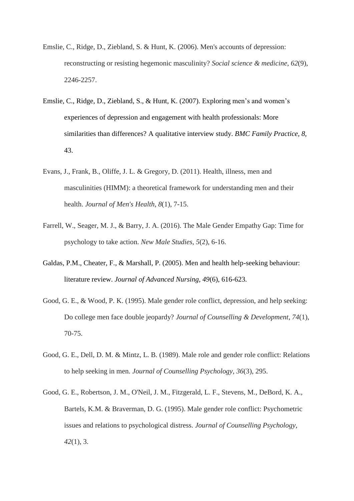- reconstructing or resisting hegemonic masculinity? *Social science & medicine*, *62*(9), Emslie, C., Ridge, D., Ziebland, S. & Hunt, K. (2006). Men's accounts of depression: 2246-2257.
- Emslie, C., Ridge, D., Ziebland, S., & Hunt, K. (2007). Exploring men's and women's experiences of depression and engagement with health professionals: More similarities than differences? A qualitative interview study. *BMC Family Practice, 8,*  43.
- Evans, J., Frank, B., Oliffe, J. L. & Gregory, D. (2011). Health, illness, men and masculinities (HIMM): a theoretical framework for understanding men and their health. *Journal of Men's Health*, *8*(1), 7-15.
- Farrell, W., Seager, M. J., & Barry, J. A. (2016). The Male Gender Empathy Gap: Time for psychology to take action. *New Male Studies*, *5*(2), 6-16.
- Galdas, P.M., Cheater, F., & Marshall, P. (2005). Men and health help-seeking behaviour: literature review. *Journal of Advanced Nursing, 49*(6), 616-623.
- Good, G. E., & Wood, P. K. (1995). Male gender role conflict, depression, and help seeking: Do college men face double jeopardy? *Journal of Counselling & Development*, *74*(1), 70-75.
- Good, G. E., Dell, D. M. & Mintz, L. B. (1989). Male role and gender role conflict: Relations to help seeking in men. *Journal of Counselling Psychology*, *36*(3), 295.
- Good, G. E., Robertson, J. M., O'Neil, J. M., Fitzgerald, L. F., Stevens, M., DeBord, K. A., Bartels, K.M. & Braverman, D. G. (1995). Male gender role conflict: Psychometric issues and relations to psychological distress. *Journal of Counselling Psychology*, *42*(1), 3.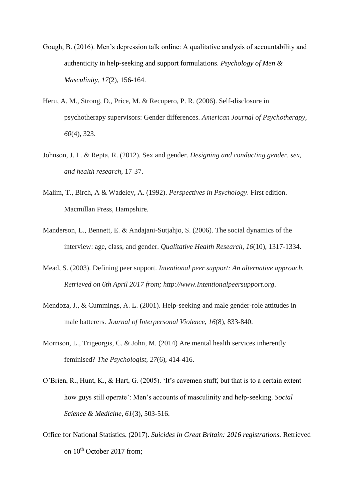- Gough, B. (2016). Men's depression talk online: A qualitative analysis of accountability and authenticity in help-seeking and support formulations. *Psychology of Men & Masculinity, 17*(2), 156-164.
- Heru, A. M., Strong, D., Price, M. & Recupero, P. R. (2006). Self-disclosure in psychotherapy supervisors: Gender differences. *American Journal of Psychotherapy*, *60*(4), 323.
- Johnson, J. L. & Repta, R. (2012). Sex and gender. *Designing and conducting gender, sex, and health research*, 17-37.
- Malim, T., Birch, A & Wadeley, A. (1992). *Perspectives in Psychology*. First edition. Macmillan Press, Hampshire.
- Manderson, L., Bennett, E. & Andajani-Sutjahjo, S. (2006). The social dynamics of the interview: age, class, and gender. *Qualitative Health Research*, *16*(10), 1317-1334.
- Mead, S. (2003). Defining peer support. *Intentional peer support: An alternative approach. Retrieved on 6th April 2017 from; <http://www.Intentionalpeersupport.org>*.
- Mendoza, J., & Cummings, A. L. (2001). Help-seeking and male gender-role attitudes in male batterers. *Journal of Interpersonal Violence*, *16*(8), 833-840.
- Morrison, L., Trigeorgis, C. & John, M. (2014) Are mental health services inherently feminised? *The Psychologist*, *27*(6), 414-416.
- *Science & Medicine, 61*(3), 503-516. O'Brien, R., Hunt, K., & Hart, G. (2005). 'It's cavemen stuff, but that is to a certain extent how guys still operate': Men's accounts of masculinity and help-seeking. *Social*
- Office for National Statistics. (2017). *Suicides in Great Britain: 2016 registrations.* Retrieved on  $10^{th}$  October 2017 from: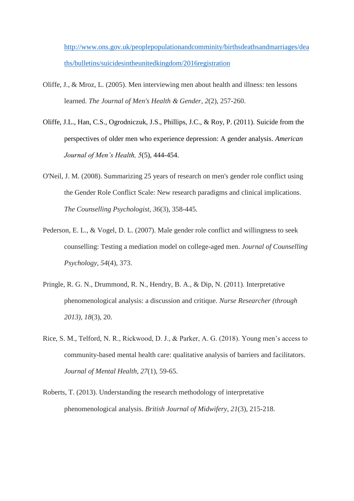[http://www.ons.gov.uk/peoplepopulationandcomminity/birthsdeathsandmarriages/dea](http://www.ons.gov.uk/peoplepopulationandcomminity/birthsdeathsandmarriages/deaths/bulletins/suicidesintheunitedkingdom/2016registration)  [ths/bulletins/suicidesintheunitedkingdom/2016registration](http://www.ons.gov.uk/peoplepopulationandcomminity/birthsdeathsandmarriages/deaths/bulletins/suicidesintheunitedkingdom/2016registration) 

- Oliffe, J., & Mroz, L. (2005). Men interviewing men about health and illness: ten lessons learned. *The Journal of Men's Health & Gender*, *2*(2), 257-260.
- Oliffe, J.L., Han, C.S., Ogrodniczuk, J.S., Phillips, J.C., & Roy, P. (2011). Suicide from the perspectives of older men who experience depression: A gender analysis. *American Journal of Men's Health, 5*(5)*,* 444-454.
- O'Neil, J. M. (2008). Summarizing 25 years of research on men's gender role conflict using the Gender Role Conflict Scale: New research paradigms and clinical implications. *The Counselling Psychologist*, *36*(3), 358-445.
- Pederson, E. L., & Vogel, D. L. (2007). Male gender role conflict and willingness to seek counselling: Testing a mediation model on college-aged men. *Journal of Counselling Psychology*, *54*(4), 373.
- Pringle, R. G. N., Drummond, R. N., Hendry, B. A., & Dip, N. (2011). Interpretative phenomenological analysis: a discussion and critique. *Nurse Researcher (through 2013)*, *18*(3), 20.
- Rice, S. M., Telford, N. R., Rickwood, D. J., & Parker, A. G. (2018). Young men's access to community-based mental health care: qualitative analysis of barriers and facilitators. *Journal of Mental Health*, *27*(1), 59-65.
- Roberts, T. (2013). Understanding the research methodology of interpretative phenomenological analysis. *British Journal of Midwifery*, *21*(3), 215-218.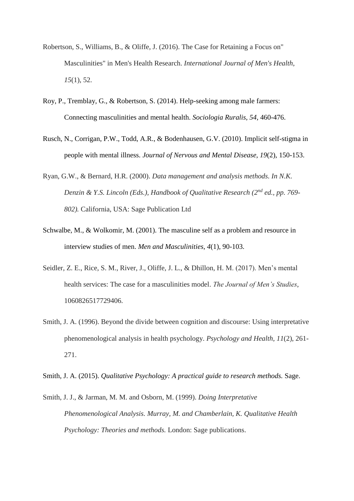- Robertson, S., Williams, B., & Oliffe, J. (2016). The Case for Retaining a Focus on" Masculinities" in Men's Health Research. *International Journal of Men's Health*, *15*(1), 52.
- Roy, P., Tremblay, G., & Robertson, S. (2014). Help-seeking among male farmers: Connecting masculinities and mental health. *Sociologia Ruralis, 54,* 460-476.
- Rusch, N., Corrigan, P.W., Todd, A.R., & Bodenhausen, G.V. (2010). Implicit self-stigma in people with mental illness. *Journal of Nervous and Mental Disease, 19*(2), 150-153.
- Ryan, G.W., & Bernard, H.R. (2000). *Data management and analysis methods. In N.K. Denzin & Y.S. Lincoln (Eds.), Handbook of Qualitative Research (2nd ed., pp. 769- 802).* California, USA: Sage Publication Ltd
- Schwalbe, M., & Wolkomir, M. (2001). The masculine self as a problem and resource in interview studies of men. *Men and Masculinities, 4*(1), 90-103.
- Seidler, Z. E., Rice, S. M., River, J., Oliffe, J. L., & Dhillon, H. M. (2017). Men's mental health services: The case for a masculinities model. *The Journal of Men's Studies*, 1060826517729406.
- Smith, J. A. (1996). Beyond the divide between cognition and discourse: Using interpretative phenomenological analysis in health psychology. *Psychology and Health*, *11*(2), 261- 271.

Smith, J. A. (2015). *Qualitative Psychology: A practical guide to research methods.* Sage.

Smith, J. J., & Jarman, M. M. and Osborn, M. (1999). *Doing Interpretative Phenomenological Analysis. Murray, M. and Chamberlain, K. Qualitative Health Psychology: Theories and methods.* London: Sage publications.